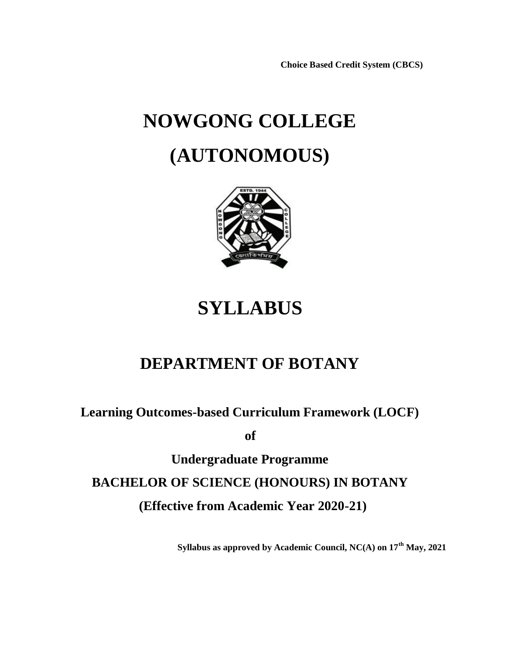**Choice Based Credit System (CBCS)**

# **NOWGONG COLLEGE (AUTONOMOUS)**



# **SYLLABUS**

# **DEPARTMENT OF BOTANY**

**Learning Outcomes-based Curriculum Framework (LOCF)**

**of**

**Undergraduate Programme BACHELOR OF SCIENCE (HONOURS) IN BOTANY (Effective from Academic Year 2020-21)**

**Syllabus as approved by Academic Council, NC(A) on 17th May, 2021**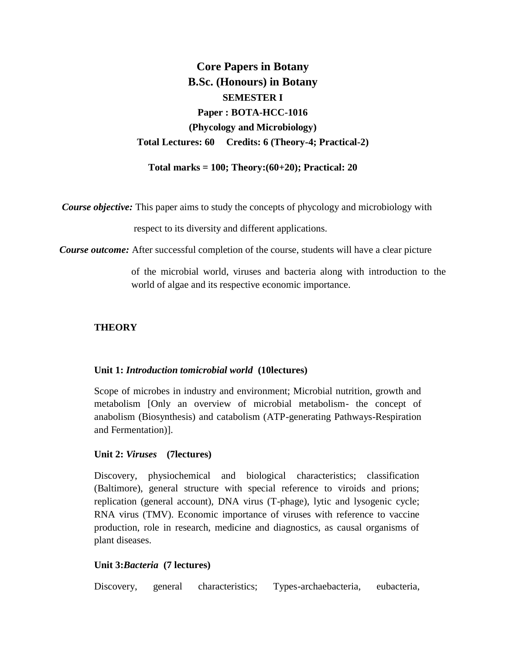**Core Papers in Botany B.Sc. (Honours) in Botany SEMESTER I Paper : BOTA-HCC-1016 (Phycology and Microbiology) Total Lectures: 60 Credits: 6 (Theory-4; Practical-2)**

**Total marks = 100; Theory:(60+20); Practical: 20**

*Course objective:* This paper aims to study the concepts of phycology and microbiology with

respect to its diversity and different applications.

*Course outcome:* After successful completion of the course, students will have a clear picture

of the microbial world, viruses and bacteria along with introduction to the world of algae and its respective economic importance.

### **THEORY**

#### **Unit 1:** *Introduction tomicrobial world* **(10lectures)**

Scope of microbes in industry and environment; Microbial nutrition, growth and metabolism [Only an overview of microbial metabolism- the concept of anabolism (Biosynthesis) and catabolism (ATP-generating Pathways-Respiration and Fermentation)].

#### **Unit 2:** *Viruses* **(7lectures)**

Discovery, physiochemical and biological characteristics; classification (Baltimore), general structure with special reference to viroids and prions; replication (general account), DNA virus (T-phage), lytic and lysogenic cycle; RNA virus (TMV). Economic importance of viruses with reference to vaccine production, role in research, medicine and diagnostics, as causal organisms of plant diseases.

#### **Unit 3:***Bacteria* **(7 lectures)**

Discovery, general characteristics; Types-archaebacteria, eubacteria,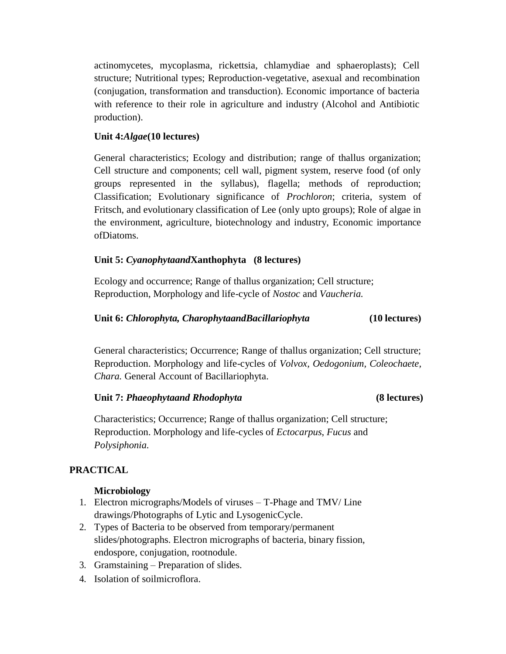actinomycetes, mycoplasma, rickettsia, chlamydiae and sphaeroplasts); Cell structure; Nutritional types; Reproduction-vegetative, asexual and recombination (conjugation, transformation and transduction). Economic importance of bacteria with reference to their role in agriculture and industry (Alcohol and Antibiotic production).

# **Unit 4:***Algae***(10 lectures)**

General characteristics; Ecology and distribution; range of thallus organization; Cell structure and components; cell wall, pigment system, reserve food (of only groups represented in the syllabus), flagella; methods of reproduction; Classification; Evolutionary significance of *Prochloron*; criteria, system of Fritsch, and evolutionary classification of Lee (only upto groups); Role of algae in the environment, agriculture, biotechnology and industry, Economic importance ofDiatoms.

# **Unit 5:** *Cyanophytaand***Xanthophyta (8 lectures)**

Ecology and occurrence; Range of thallus organization; Cell structure; Reproduction, Morphology and life-cycle of *Nostoc* and *Vaucheria.*

# **Unit 6:** *Chlorophyta, CharophytaandBacillariophyta* **(10 lectures)**

General characteristics; Occurrence; Range of thallus organization; Cell structure; Reproduction. Morphology and life-cycles of *Volvox, Oedogonium, Coleochaete, Chara.* General Account of Bacillariophyta*.*

# **Unit 7:** *Phaeophytaand Rhodophyta* **(8 lectures)**

Characteristics; Occurrence; Range of thallus organization; Cell structure; Reproduction. Morphology and life-cycles of *Ectocarpus*, *Fucus* and *Polysiphonia.*

# **PRACTICAL**

# **Microbiology**

- 1. Electron micrographs/Models of viruses T-Phage and TMV/ Line drawings/Photographs of Lytic and LysogenicCycle.
- 2. Types of Bacteria to be observed from temporary/permanent slides/photographs. Electron micrographs of bacteria, binary fission, endospore, conjugation, rootnodule.
- 3. Gramstaining Preparation of slides.
- 4. Isolation of soilmicroflora.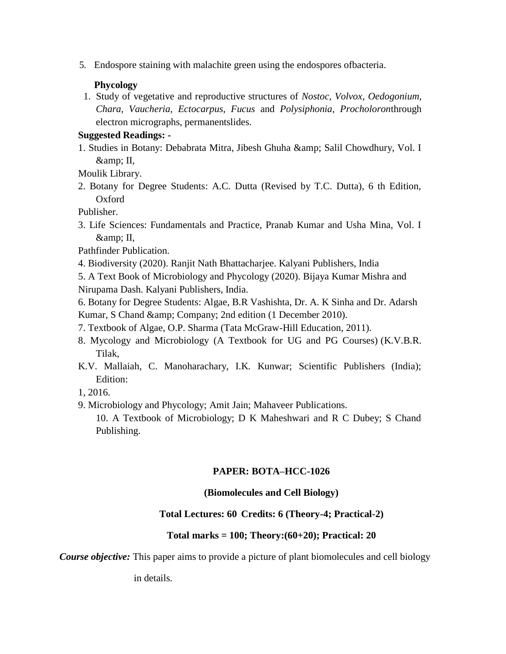5. Endospore staining with malachite green using the endospores ofbacteria.

## **Phycology**

1. Study of vegetative and reproductive structures of *Nostoc, Volvox*, *Oedogonium, Chara, Vaucheria, Ectocarpus, Fucus* and *Polysiphonia, Procholoron*through electron micrographs, permanentslides.

## **Suggested Readings: -**

1. Studies in Botany: Debabrata Mitra, Jibesh Ghuha & amp; Salil Chowdhury, Vol. I  $&$  II,

Moulik Library.

2. Botany for Degree Students: A.C. Dutta (Revised by T.C. Dutta), 6 th Edition, Oxford

Publisher.

3. Life Sciences: Fundamentals and Practice, Pranab Kumar and Usha Mina, Vol. I &amp: II.

Pathfinder Publication.

4. Biodiversity (2020). Ranjit Nath Bhattacharjee. Kalyani Publishers, India

5. A Text Book of Microbiology and Phycology (2020). Bijaya Kumar Mishra and Nirupama Dash. Kalyani Publishers, India.

6. Botany for Degree Students: Algae, B.R Vashishta, Dr. A. K Sinha and Dr. Adarsh Kumar, S Chand & amp; Company; 2nd edition (1 December 2010).

- 7. Textbook of Algae, O.P. Sharma (Tata McGraw-Hill Education, 2011).
- 8. Mycology and Microbiology (A Textbook for UG and PG Courses) (K.V.B.R. Tilak,
- K.V. Mallaiah, C. Manoharachary, I.K. Kunwar; Scientific Publishers (India); Edition:
- 1, 2016.
- 9. Microbiology and Phycology; Amit Jain; Mahaveer Publications.

10. A Textbook of Microbiology; D K Maheshwari and R C Dubey; S Chand Publishing.

# **PAPER: BOTA–HCC-1026**

### **(Biomolecules and Cell Biology)**

### **Total Lectures: 60 Credits: 6 (Theory-4; Practical-2)**

### **Total marks = 100; Theory:(60+20); Practical: 20**

*Course objective:* This paper aims to provide a picture of plant biomolecules and cell biology

in details.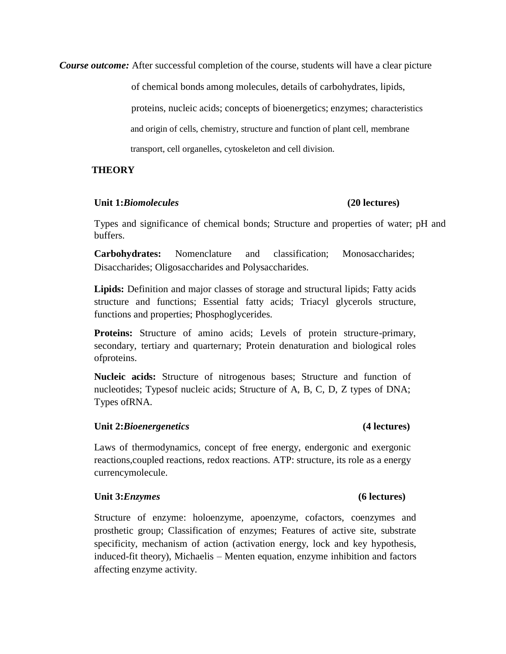*Course outcome:* After successful completion of the course, students will have a clear picture

of chemical bonds among molecules, details of carbohydrates, lipids,

 proteins, nucleic acids; concepts of bioenergetics; enzymes; characteristics and origin of cells, chemistry, structure and function of plant cell, membrane transport, cell organelles, cytoskeleton and cell division.

### **THEORY**

#### **Unit 1:***Biomolecules* **(20 lectures)**

Types and significance of chemical bonds; Structure and properties of water; pH and buffers.

**Carbohydrates:** Nomenclature and classification; Monosaccharides; Disaccharides; Oligosaccharides and Polysaccharides.

**Lipids:** Definition and major classes of storage and structural lipids; Fatty acids structure and functions; Essential fatty acids; Triacyl glycerols structure, functions and properties; Phosphoglycerides.

**Proteins:** Structure of amino acids; Levels of protein structure-primary, secondary, tertiary and quarternary; Protein denaturation and biological roles ofproteins.

**Nucleic acids:** Structure of nitrogenous bases; Structure and function of nucleotides; Typesof nucleic acids; Structure of A, B, C, D, Z types of DNA; Types ofRNA.

### **Unit 2:***Bioenergenetics* **(4 lectures)**

Laws of thermodynamics, concept of free energy, endergonic and exergonic reactions,coupled reactions, redox reactions. ATP: structure, its role as a energy currencymolecule.

### **Unit 3:***Enzymes* **(6 lectures)**

Structure of enzyme: holoenzyme, apoenzyme, cofactors, coenzymes and prosthetic group; Classification of enzymes; Features of active site, substrate specificity, mechanism of action (activation energy, lock and key hypothesis, induced-fit theory), Michaelis – Menten equation, enzyme inhibition and factors affecting enzyme activity.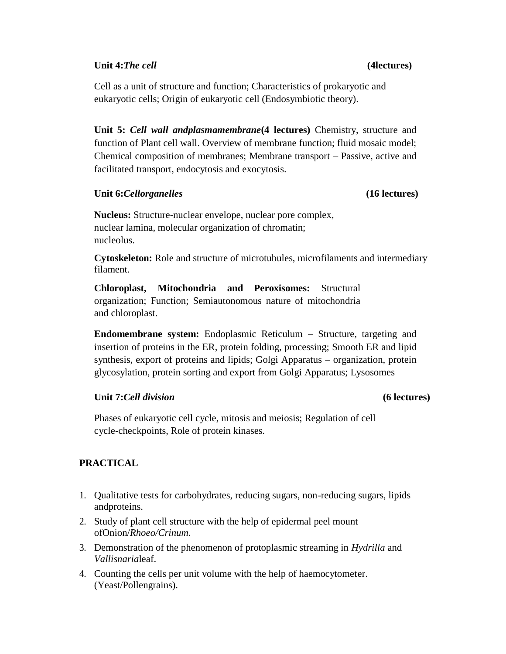### **Unit 4:***The cell* **(4lectures)**

Cell as a unit of structure and function; Characteristics of prokaryotic and eukaryotic cells; Origin of eukaryotic cell (Endosymbiotic theory).

**Unit 5:** *Cell wall andplasmamembrane***(4 lectures)** Chemistry, structure and function of Plant cell wall. Overview of membrane function; fluid mosaic model; Chemical composition of membranes; Membrane transport – Passive, active and facilitated transport, endocytosis and exocytosis.

### **Unit 6:***Cellorganelles* **(16 lectures)**

**Nucleus:** Structure-nuclear envelope, nuclear pore complex, nuclear lamina, molecular organization of chromatin; nucleolus.

**Cytoskeleton:** Role and structure of microtubules, microfilaments and intermediary filament.

**Chloroplast, Mitochondria and Peroxisomes:** Structural organization; Function; Semiautonomous nature of mitochondria and chloroplast.

**Endomembrane system:** Endoplasmic Reticulum – Structure, targeting and insertion of proteins in the ER, protein folding, processing; Smooth ER and lipid synthesis, export of proteins and lipids; Golgi Apparatus – organization, protein glycosylation, protein sorting and export from Golgi Apparatus; Lysosomes

# **Unit 7:***Cell division* **(6 lectures)**

Phases of eukaryotic cell cycle, mitosis and meiosis; Regulation of cell cycle-checkpoints, Role of protein kinases.

# **PRACTICAL**

- 1. Qualitative tests for carbohydrates, reducing sugars, non-reducing sugars, lipids andproteins.
- 2. Study of plant cell structure with the help of epidermal peel mount ofOnion/*Rhoeo/Crinum*.
- 3. Demonstration of the phenomenon of protoplasmic streaming in *Hydrilla* and *Vallisnaria*leaf.
- 4. Counting the cells per unit volume with the help of haemocytometer. (Yeast/Pollengrains).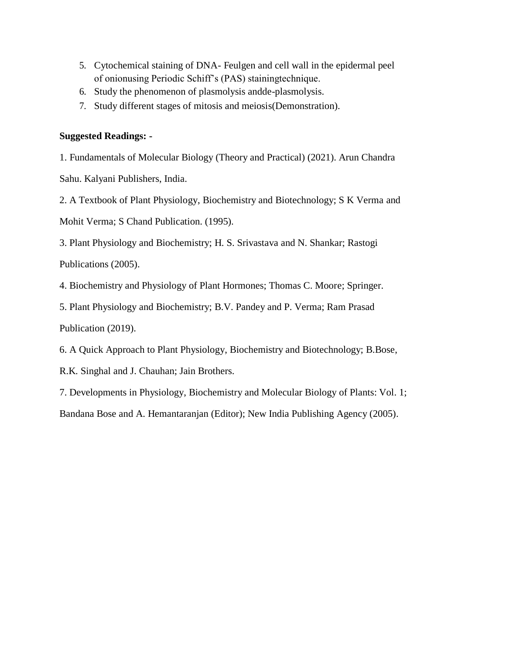- 5. Cytochemical staining of DNA- Feulgen and cell wall in the epidermal peel of onionusing Periodic Schiff's (PAS) stainingtechnique.
- 6. Study the phenomenon of plasmolysis andde-plasmolysis.
- 7. Study different stages of mitosis and meiosis(Demonstration).

# **Suggested Readings: -**

1. Fundamentals of Molecular Biology (Theory and Practical) (2021). Arun Chandra

Sahu. Kalyani Publishers, India.

2. A Textbook of Plant Physiology, Biochemistry and Biotechnology; S K Verma and

Mohit Verma; S Chand Publication. (1995).

3. Plant Physiology and Biochemistry; H. S. Srivastava and N. Shankar; Rastogi

Publications (2005).

4. Biochemistry and Physiology of Plant Hormones; Thomas C. Moore; Springer.

5. Plant Physiology and Biochemistry; B.V. Pandey and P. Verma; Ram Prasad Publication (2019).

6. A Quick Approach to Plant Physiology, Biochemistry and Biotechnology; B.Bose,

R.K. Singhal and J. Chauhan; Jain Brothers.

7. Developments in Physiology, Biochemistry and Molecular Biology of Plants: Vol. 1;

Bandana Bose and A. Hemantaranjan (Editor); New India Publishing Agency (2005).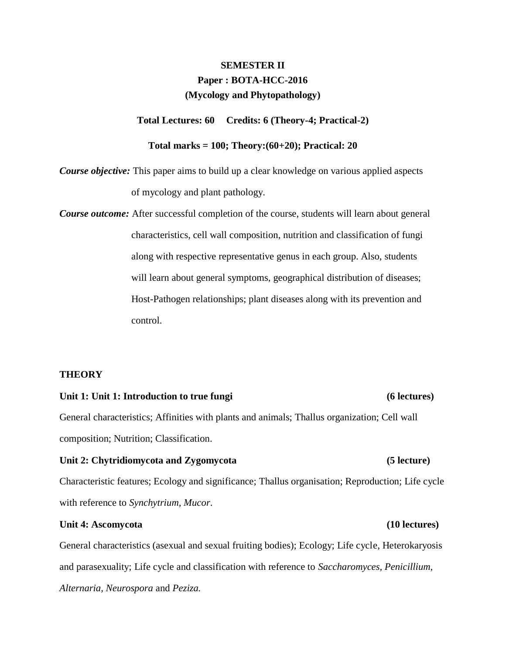# **SEMESTER II Paper : BOTA-HCC-2016 (Mycology and Phytopathology)**

**Total Lectures: 60 Credits: 6 (Theory-4; Practical-2)**

### **Total marks = 100; Theory:(60+20); Practical: 20**

*Course objective:* This paper aims to build up a clear knowledge on various applied aspects of mycology and plant pathology.

*Course outcome:* After successful completion of the course, students will learn about general characteristics, cell wall composition, nutrition and classification of fungi along with respective representative genus in each group. Also, students will learn about general symptoms, geographical distribution of diseases; Host-Pathogen relationships; plant diseases along with its prevention and control.

### **THEORY**

#### Unit 1: Unit 1: Introduction to true fungi **the contract of the contract of the contract of the contract of the contract of the contract of the contract of the contract of the contract of the contract of the contract of th**

General characteristics; Affinities with plants and animals; Thallus organization; Cell wall composition; Nutrition; Classification.

# Characteristic features; Ecology and significance; Thallus organisation; Reproduction; Life cycle with reference to *Synchytrium, Mucor*.

#### Unit 4: Ascomycota (10 lectures)

General characteristics (asexual and sexual fruiting bodies); Ecology; Life cycle, Heterokaryosis and parasexuality; Life cycle and classification with reference to *Saccharomyces, Penicillium, Alternaria, Neurospora* and *Peziza.*

### Unit 2: Chytridiomycota and Zygomycota (5 lecture)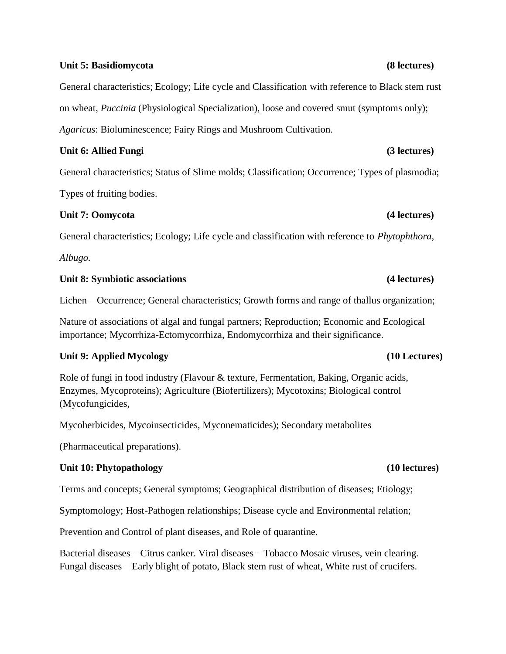### **Unit 5: Basidiomycota (8 lectures)**

General characteristics; Ecology; Life cycle and Classification with reference to Black stem rust on wheat, *Puccinia* (Physiological Specialization), loose and covered smut (symptoms only); *Agaricus*: Bioluminescence; Fairy Rings and Mushroom Cultivation.

### Unit 6: Allied Fungi (3 lectures)

General characteristics; Status of Slime molds; Classification; Occurrence; Types of plasmodia;

Types of fruiting bodies.

# **Unit 7: Oomycota (4 lectures)**

General characteristics; Ecology; Life cycle and classification with reference to *Phytophthora,*

*Albugo.*

### Unit 8: Symbiotic associations (4 lectures)

Lichen – Occurrence; General characteristics; Growth forms and range of thallus organization;

Nature of associations of algal and fungal partners; Reproduction; Economic and Ecological importance; Mycorrhiza-Ectomycorrhiza, Endomycorrhiza and their significance.

# **Unit 9: Applied Mycology (10 Lectures)**

Role of fungi in food industry (Flavour & texture, Fermentation, Baking, Organic acids, Enzymes, Mycoproteins); Agriculture (Biofertilizers); Mycotoxins; Biological control (Mycofungicides,

Mycoherbicides, Mycoinsecticides, Myconematicides); Secondary metabolites

(Pharmaceutical preparations).

# **Unit 10: Phytopathology (10 lectures)**

Terms and concepts; General symptoms; Geographical distribution of diseases; Etiology;

Symptomology; Host-Pathogen relationships; Disease cycle and Environmental relation;

Prevention and Control of plant diseases, and Role of quarantine.

Bacterial diseases – Citrus canker. Viral diseases – Tobacco Mosaic viruses, vein clearing. Fungal diseases – Early blight of potato, Black stem rust of wheat, White rust of crucifers.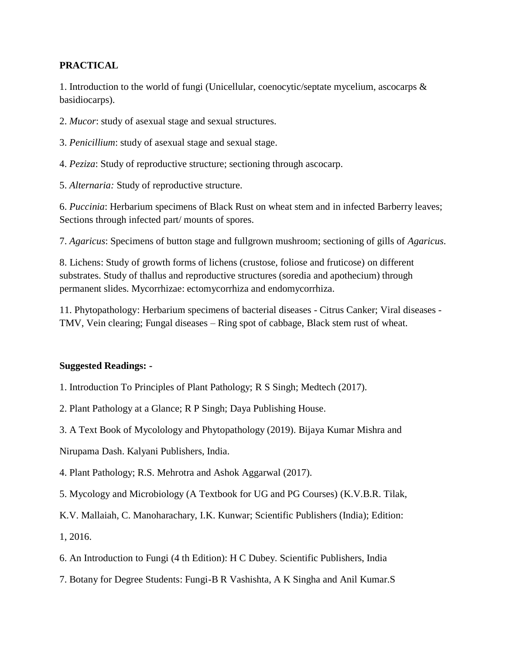# **PRACTICAL**

1. Introduction to the world of fungi (Unicellular, coenocytic/septate mycelium, ascocarps & basidiocarps).

2. *Mucor*: study of asexual stage and sexual structures.

3. *Penicillium*: study of asexual stage and sexual stage.

4. *Peziza*: Study of reproductive structure; sectioning through ascocarp.

5. *Alternaria:* Study of reproductive structure.

6. *Puccinia*: Herbarium specimens of Black Rust on wheat stem and in infected Barberry leaves; Sections through infected part/ mounts of spores.

7. *Agaricus*: Specimens of button stage and fullgrown mushroom; sectioning of gills of *Agaricus*.

8. Lichens: Study of growth forms of lichens (crustose, foliose and fruticose) on different substrates. Study of thallus and reproductive structures (soredia and apothecium) through permanent slides. Mycorrhizae: ectomycorrhiza and endomycorrhiza.

11. Phytopathology: Herbarium specimens of bacterial diseases - Citrus Canker; Viral diseases - TMV, Vein clearing; Fungal diseases – Ring spot of cabbage, Black stem rust of wheat.

# **Suggested Readings: -**

- 1. Introduction To Principles of Plant Pathology; R S Singh; Medtech (2017).
- 2. Plant Pathology at a Glance; R P Singh; Daya Publishing House.
- 3. A Text Book of Mycolology and Phytopathology (2019). Bijaya Kumar Mishra and

Nirupama Dash. Kalyani Publishers, India.

- 4. Plant Pathology; R.S. Mehrotra and Ashok Aggarwal (2017).
- 5. Mycology and Microbiology (A Textbook for UG and PG Courses) (K.V.B.R. Tilak,
- K.V. Mallaiah, C. Manoharachary, I.K. Kunwar; Scientific Publishers (India); Edition:
- 1, 2016.
- 6. An Introduction to Fungi (4 th Edition): H C Dubey. Scientific Publishers, India
- 7. Botany for Degree Students: Fungi-B R Vashishta, A K Singha and Anil Kumar.S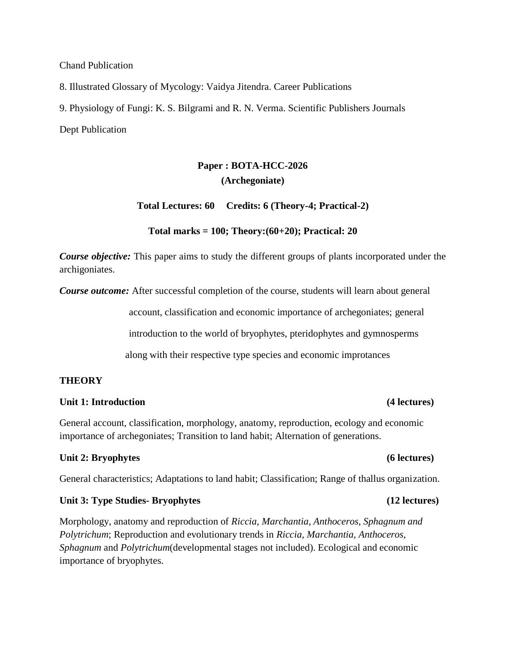Chand Publication

8. Illustrated Glossary of Mycology: Vaidya Jitendra. Career Publications

9. Physiology of Fungi: K. S. Bilgrami and R. N. Verma. Scientific Publishers Journals

Dept Publication

# **Paper : BOTA-HCC-2026 (Archegoniate)**

**Total Lectures: 60 Credits: 6 (Theory-4; Practical-2)**

### **Total marks = 100; Theory:(60+20); Practical: 20**

*Course objective:* This paper aims to study the different groups of plants incorporated under the archigoniates.

*Course outcome:* After successful completion of the course, students will learn about general

account, classification and economic importance of archegoniates; general

introduction to the world of bryophytes, pteridophytes and gymnosperms

along with their respective type species and economic improtances

#### **THEORY**

#### Unit 1: Introduction **(4)** lectures)

General account, classification, morphology, anatomy, reproduction, ecology and economic importance of archegoniates; Transition to land habit; Alternation of generations.

#### Unit 2: Bryophytes (6 lectures)

General characteristics; Adaptations to land habit; Classification; Range of thallus organization.

#### Unit 3: Type Studies-Bryophytes (12 lectures)

Morphology, anatomy and reproduction of *Riccia, Marchantia, Anthoceros, Sphagnum and Polytrichum*; Reproduction and evolutionary trends in *Riccia, Marchantia, Anthoceros, Sphagnum* and *Polytrichum*(developmental stages not included). Ecological and economic importance of bryophytes.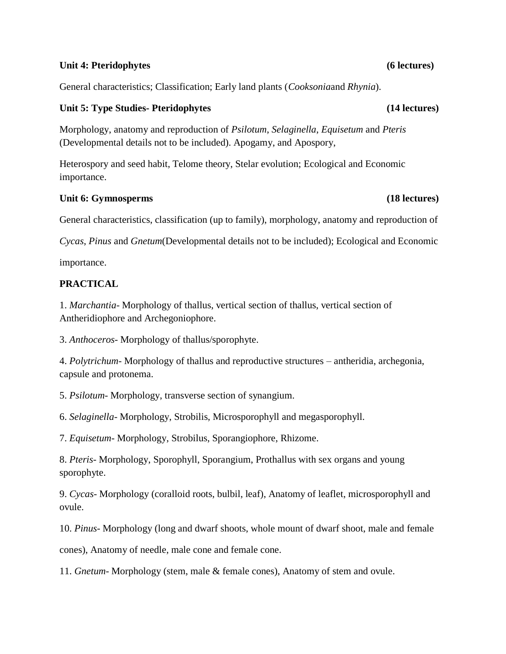### Unit 4: Pteridophytes (6 lectures)

General characteristics; Classification; Early land plants (*Cooksonia*and *Rhynia*).

# Unit 5: Type Studies- Pteridophytes (14 lectures)

Morphology, anatomy and reproduction of *Psilotum*, *Selaginella*, *Equisetum* and *Pteris*  (Developmental details not to be included). Apogamy, and Apospory,

Heterospory and seed habit, Telome theory, Stelar evolution; Ecological and Economic importance.

# Unit 6: Gymnosperms (18 lectures)

General characteristics, classification (up to family), morphology, anatomy and reproduction of

*Cycas*, *Pinus* and *Gnetum*(Developmental details not to be included); Ecological and Economic

importance.

# **PRACTICAL**

1. *Marchantia*- Morphology of thallus, vertical section of thallus, vertical section of Antheridiophore and Archegoniophore.

3. *Anthoceros*- Morphology of thallus/sporophyte.

4. *Polytrichum*- Morphology of thallus and reproductive structures – antheridia, archegonia, capsule and protonema.

5. *Psilotum*- Morphology, transverse section of synangium.

6. *Selaginella*- Morphology, Strobilis, Microsporophyll and megasporophyll.

7. *Equisetum*- Morphology, Strobilus, Sporangiophore, Rhizome.

8. *Pteris*- Morphology, Sporophyll, Sporangium, Prothallus with sex organs and young sporophyte.

9. *Cycas*- Morphology (coralloid roots, bulbil, leaf), Anatomy of leaflet, microsporophyll and ovule.

10. *Pinus*- Morphology (long and dwarf shoots, whole mount of dwarf shoot, male and female

cones), Anatomy of needle, male cone and female cone.

11. *Gnetum*- Morphology (stem, male & female cones), Anatomy of stem and ovule.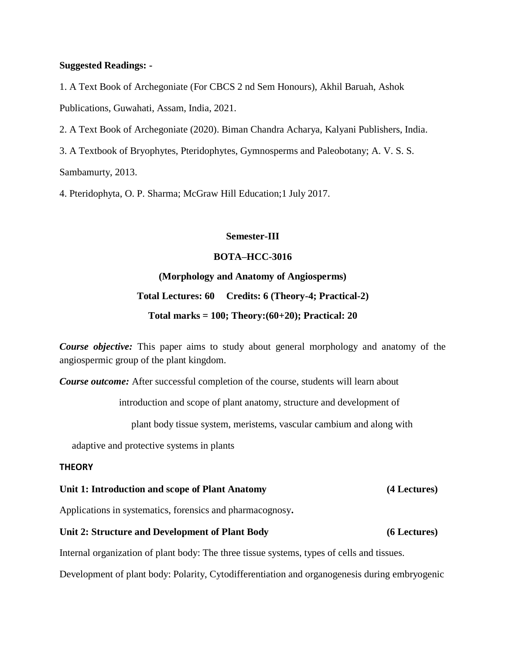#### **Suggested Readings: -**

1. A Text Book of Archegoniate (For CBCS 2 nd Sem Honours), Akhil Baruah, Ashok Publications, Guwahati, Assam, India, 2021.

2. A Text Book of Archegoniate (2020). Biman Chandra Acharya, Kalyani Publishers, India.

3. A Textbook of Bryophytes, Pteridophytes, Gymnosperms and Paleobotany; A. V. S. S.

Sambamurty, 2013.

4. Pteridophyta, O. P. Sharma; McGraw Hill Education;1 July 2017.

### **Semester-III**

### **BOTA–HCC-3016**

### **(Morphology and Anatomy of Angiosperms)**

# **Total Lectures: 60 Credits: 6 (Theory-4; Practical-2)**

**Total marks = 100; Theory:(60+20); Practical: 20**

*Course objective:* This paper aims to study about general morphology and anatomy of the angiospermic group of the plant kingdom.

*Course outcome:* After successful completion of the course, students will learn about

introduction and scope of plant anatomy, structure and development of

plant body tissue system, meristems, vascular cambium and along with

adaptive and protective systems in plants

#### **THEORY**

# **Unit 1: Introduction and scope of Plant Anatomy (4 Lectures)**

Applications in systematics, forensics and pharmacognosy**.**

#### **Unit 2: Structure and Development of Plant Body (6 Lectures)**

Internal organization of plant body: The three tissue systems, types of cells and tissues.

Development of plant body: Polarity, Cytodifferentiation and organogenesis during embryogenic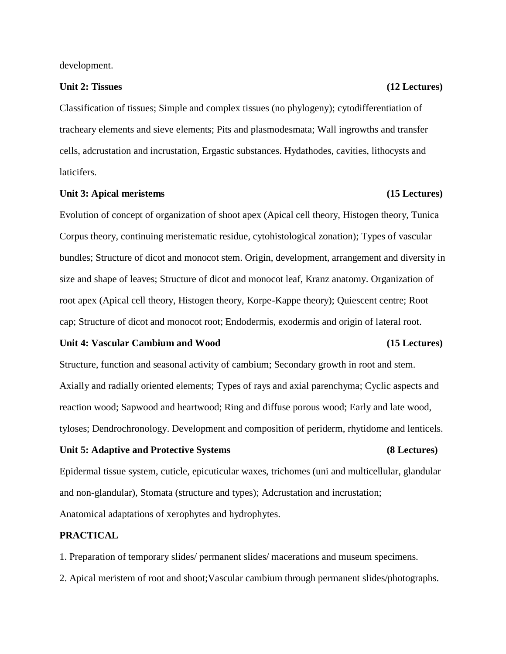development.

### Unit 2: Tissues (12 Lectures)

Classification of tissues; Simple and complex tissues (no phylogeny); cytodifferentiation of tracheary elements and sieve elements; Pits and plasmodesmata; Wall ingrowths and transfer cells, adcrustation and incrustation, Ergastic substances. Hydathodes, cavities, lithocysts and laticifers.

#### Unit 3: Apical meristems (15 Lectures)

Evolution of concept of organization of shoot apex (Apical cell theory, Histogen theory, Tunica Corpus theory, continuing meristematic residue, cytohistological zonation); Types of vascular bundles; Structure of dicot and monocot stem. Origin, development, arrangement and diversity in size and shape of leaves; Structure of dicot and monocot leaf, Kranz anatomy. Organization of root apex (Apical cell theory, Histogen theory, Korpe-Kappe theory); Quiescent centre; Root cap; Structure of dicot and monocot root; Endodermis, exodermis and origin of lateral root.

#### **Unit 4: Vascular Cambium and Wood (15 Lectures)**

Structure, function and seasonal activity of cambium; Secondary growth in root and stem. Axially and radially oriented elements; Types of rays and axial parenchyma; Cyclic aspects and reaction wood; Sapwood and heartwood; Ring and diffuse porous wood; Early and late wood, tyloses; Dendrochronology. Development and composition of periderm, rhytidome and lenticels.

# Epidermal tissue system, cuticle, epicuticular waxes, trichomes (uni and multicellular, glandular and non-glandular), Stomata (structure and types); Adcrustation and incrustation; Anatomical adaptations of xerophytes and hydrophytes.

#### **PRACTICAL**

1. Preparation of temporary slides/ permanent slides/ macerations and museum specimens.

2. Apical meristem of root and shoot;Vascular cambium through permanent slides/photographs.

#### **Unit 5: Adaptive and Protective Systems (8 Lectures)**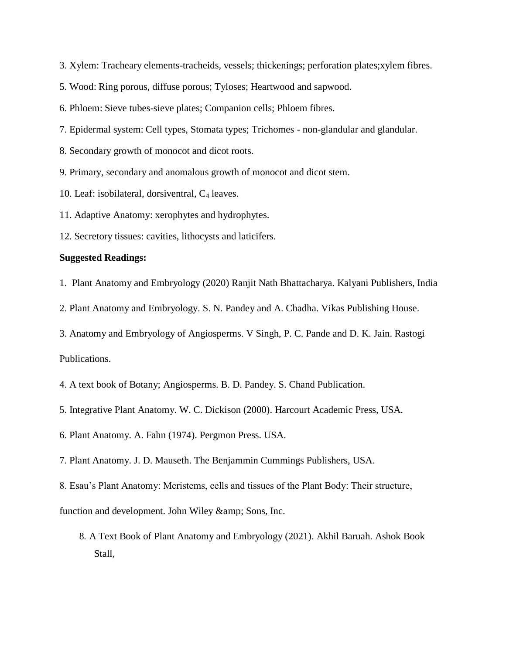- 3. Xylem: Tracheary elements-tracheids, vessels; thickenings; perforation plates;xylem fibres.
- 5. Wood: Ring porous, diffuse porous; Tyloses; Heartwood and sapwood.
- 6. Phloem: Sieve tubes-sieve plates; Companion cells; Phloem fibres.
- 7. Epidermal system: Cell types, Stomata types; Trichomes non-glandular and glandular.
- 8. Secondary growth of monocot and dicot roots.
- 9. Primary, secondary and anomalous growth of monocot and dicot stem.
- 10. Leaf: isobilateral, dorsiventral,  $C_4$  leaves.
- 11. Adaptive Anatomy: xerophytes and hydrophytes.
- 12. Secretory tissues: cavities, lithocysts and laticifers.

#### **Suggested Readings:**

- 1. Plant Anatomy and Embryology (2020) Ranjit Nath Bhattacharya. Kalyani Publishers, India
- 2. Plant Anatomy and Embryology. S. N. Pandey and A. Chadha. Vikas Publishing House.
- 3. Anatomy and Embryology of Angiosperms. V Singh, P. C. Pande and D. K. Jain. Rastogi

Publications.

- 4. A text book of Botany; Angiosperms. B. D. Pandey. S. Chand Publication.
- 5. Integrative Plant Anatomy. W. C. Dickison (2000). Harcourt Academic Press, USA.
- 6. Plant Anatomy. A. Fahn (1974). Pergmon Press. USA.
- 7. Plant Anatomy. J. D. Mauseth. The Benjammin Cummings Publishers, USA.
- 8. Esau's Plant Anatomy: Meristems, cells and tissues of the Plant Body: Their structure,

function and development. John Wiley & amp; Sons, Inc.

8. A Text Book of Plant Anatomy and Embryology (2021). Akhil Baruah. Ashok Book Stall,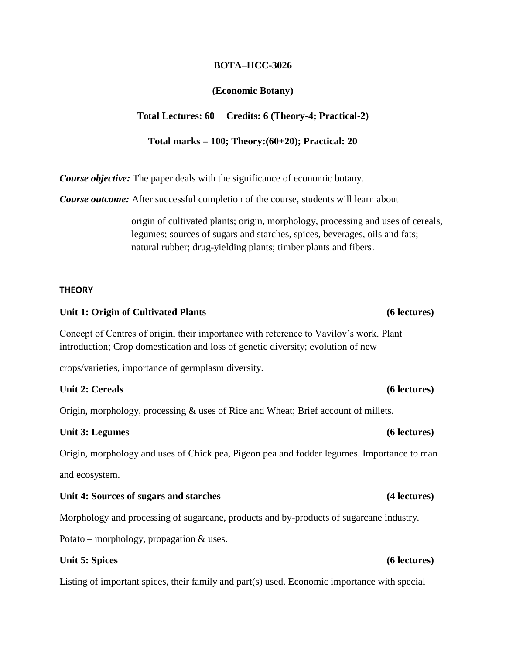### **BOTA–HCC-3026**

## **(Economic Botany)**

### **Total Lectures: 60 Credits: 6 (Theory-4; Practical-2)**

### **Total marks = 100; Theory:(60+20); Practical: 20**

*Course objective:* The paper deals with the significance of economic botany.

*Course outcome:* After successful completion of the course, students will learn about

origin of cultivated plants; origin, morphology, processing and uses of cereals, legumes; sources of sugars and starches, spices, beverages, oils and fats; natural rubber; drug-yielding plants; timber plants and fibers.

### **THEORY**

#### Unit 1: Origin of Cultivated Plants (6 lectures)

Concept of Centres of origin, their importance with reference to Vavilov's work. Plant introduction; Crop domestication and loss of genetic diversity; evolution of new

crops/varieties, importance of germplasm diversity.

### **Unit 2: Cereals (6 lectures)**

Origin, morphology, processing & uses of Rice and Wheat; Brief account of millets.

#### Unit 3: Legumes (6 lectures)

Origin, morphology and uses of Chick pea, Pigeon pea and fodder legumes. Importance to man and ecosystem.

#### Unit 4: Sources of sugars and starches (4 lectures)

Morphology and processing of sugarcane, products and by-products of sugarcane industry.

Potato – morphology, propagation & uses.

### Unit 5: Spices (6 lectures)

Listing of important spices, their family and part(s) used. Economic importance with special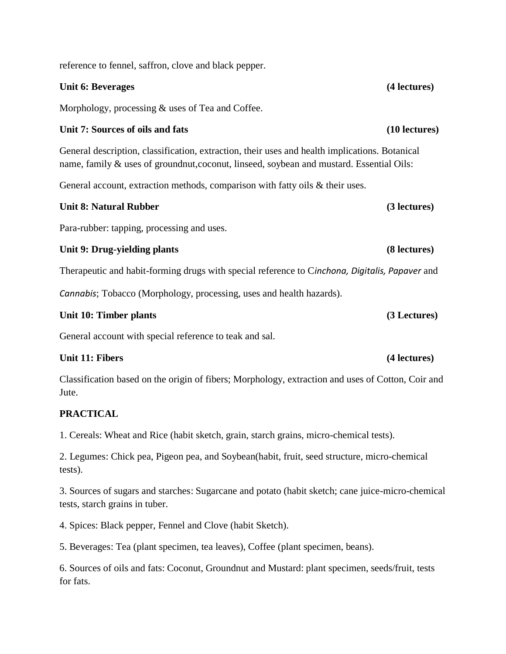reference to fennel, saffron, clove and black pepper.

### **Unit 6: Beverages (4 lectures)**

Morphology, processing & uses of Tea and Coffee.

### **Unit 7: Sources of oils and fats (10 lectures)**

General description, classification, extraction, their uses and health implications. Botanical name, family & uses of groundnut,coconut, linseed, soybean and mustard. Essential Oils:

General account, extraction methods, comparison with fatty oils & their uses.

# **Unit 8: Natural Rubber (3 lectures)**

Para-rubber: tapping, processing and uses.

### Unit 9: Drug-yielding plants (8 lectures)

Therapeutic and habit-forming drugs with special reference to C*inchona, Digitalis, Papaver* and

*Cannabis*; Tobacco (Morphology, processing, uses and health hazards)*.*

### Unit 10: Timber plants (3 Lectures)

General account with special reference to teak and sal.

### Unit 11: Fibers (4 lectures)

Classification based on the origin of fibers; Morphology, extraction and uses of Cotton, Coir and Jute.

### **PRACTICAL**

1. Cereals: Wheat and Rice (habit sketch, grain, starch grains, micro-chemical tests).

2. Legumes: Chick pea, Pigeon pea, and Soybean(habit, fruit, seed structure, micro-chemical tests).

3. Sources of sugars and starches: Sugarcane and potato (habit sketch; cane juice-micro-chemical tests, starch grains in tuber.

4. Spices: Black pepper, Fennel and Clove (habit Sketch).

5. Beverages: Tea (plant specimen, tea leaves), Coffee (plant specimen, beans).

6. Sources of oils and fats: Coconut, Groundnut and Mustard: plant specimen, seeds/fruit, tests for fats.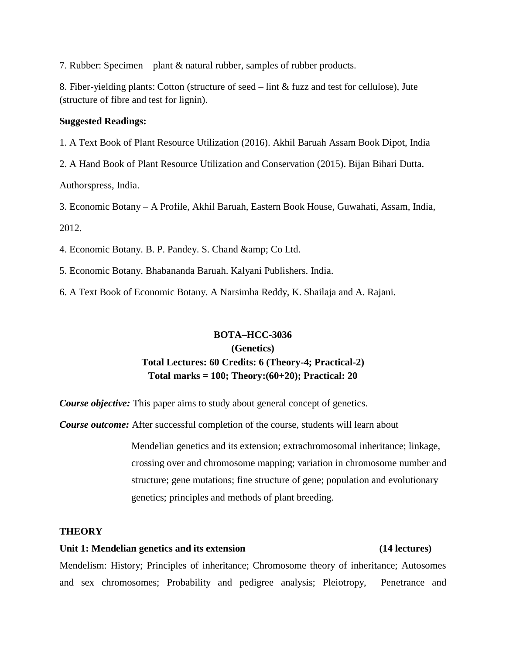7. Rubber: Specimen – plant & natural rubber, samples of rubber products.

8. Fiber-yielding plants: Cotton (structure of seed – lint & fuzz and test for cellulose), Jute (structure of fibre and test for lignin).

### **Suggested Readings:**

1. A Text Book of Plant Resource Utilization (2016). Akhil Baruah Assam Book Dipot, India

2. A Hand Book of Plant Resource Utilization and Conservation (2015). Bijan Bihari Dutta. Authorspress, India.

3. Economic Botany – A Profile, Akhil Baruah, Eastern Book House, Guwahati, Assam, India, 2012.

4. Economic Botany. B. P. Pandey. S. Chand & amp; Co Ltd.

5. Economic Botany. Bhabananda Baruah. Kalyani Publishers. India.

6. A Text Book of Economic Botany. A Narsimha Reddy, K. Shailaja and A. Rajani.

# **BOTA–HCC-3036 (Genetics) Total Lectures: 60 Credits: 6 (Theory-4; Practical-2) Total marks = 100; Theory:(60+20); Practical: 20**

*Course objective:* This paper aims to study about general concept of genetics.

*Course outcome:* After successful completion of the course, students will learn about

Mendelian genetics and its extension; extrachromosomal inheritance; linkage, crossing over and chromosome mapping; variation in chromosome number and structure; gene mutations; fine structure of gene; population and evolutionary genetics; principles and methods of plant breeding.

### **THEORY**

#### **Unit 1: Mendelian genetics and its extension (14 lectures)**

Mendelism: History; Principles of inheritance; Chromosome theory of inheritance; Autosomes and sex chromosomes; Probability and pedigree analysis; Pleiotropy, Penetrance and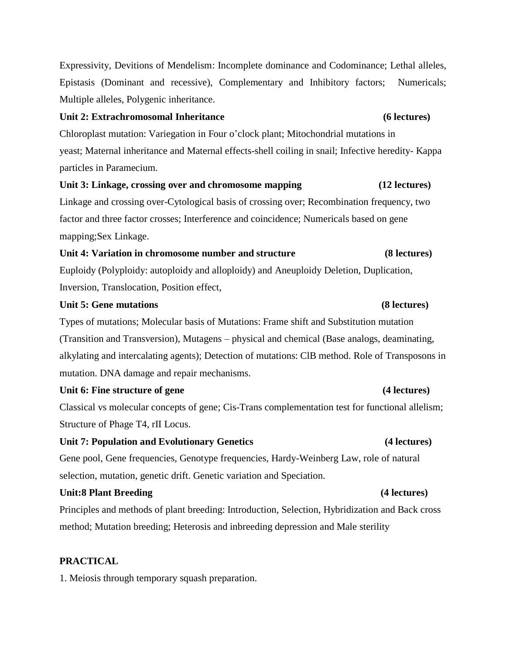Expressivity, Devitions of Mendelism: Incomplete dominance and Codominance; Lethal alleles, Epistasis (Dominant and recessive), Complementary and Inhibitory factors; Numericals; Multiple alleles, Polygenic inheritance.

# **Unit 2: Extrachromosomal Inheritance (6 lectures)**

Chloroplast mutation: Variegation in Four o'clock plant; Mitochondrial mutations in yeast; Maternal inheritance and Maternal effects-shell coiling in snail; Infective heredity- Kappa particles in Paramecium.

# **Unit 3: Linkage, crossing over and chromosome mapping (12 lectures)**

Linkage and crossing over-Cytological basis of crossing over; Recombination frequency, two factor and three factor crosses; Interference and coincidence; Numericals based on gene mapping;Sex Linkage.

# **Unit 4: Variation in chromosome number and structure (8 lectures)**

Euploidy (Polyploidy: autoploidy and alloploidy) and Aneuploidy Deletion, Duplication, Inversion, Translocation, Position effect,

# **Unit 5: Gene mutations (8 lectures)**

Types of mutations; Molecular basis of Mutations: Frame shift and Substitution mutation (Transition and Transversion), Mutagens – physical and chemical (Base analogs, deaminating, alkylating and intercalating agents); Detection of mutations: ClB method. Role of Transposons in mutation. DNA damage and repair mechanisms.

# **Unit 6: Fine structure of gene (4 lectures)**

Classical vs molecular concepts of gene; Cis-Trans complementation test for functional allelism; Structure of Phage T4, rII Locus.

# **Unit 7: Population and Evolutionary Genetics (4 lectures)**

Gene pool, Gene frequencies, Genotype frequencies, Hardy-Weinberg Law, role of natural selection, mutation, genetic drift. Genetic variation and Speciation.

# **Unit:8 Plant Breeding (4 lectures)**

Principles and methods of plant breeding: Introduction, Selection, Hybridization and Back cross method; Mutation breeding; Heterosis and inbreeding depression and Male sterility

# **PRACTICAL**

1. Meiosis through temporary squash preparation.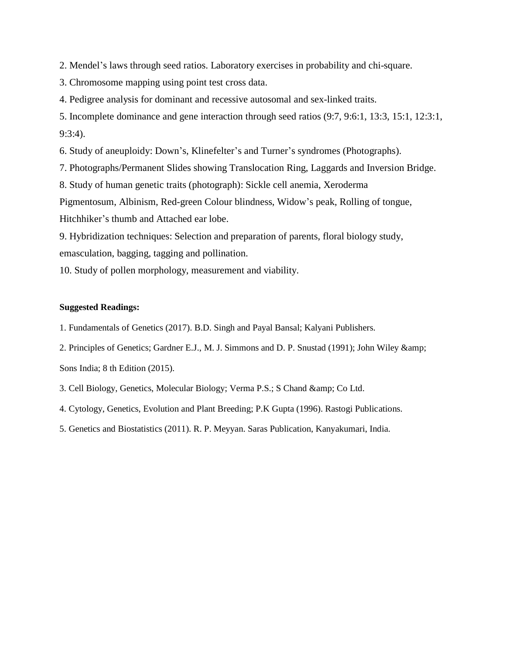2. Mendel's laws through seed ratios. Laboratory exercises in probability and chi-square.

3. Chromosome mapping using point test cross data.

4. Pedigree analysis for dominant and recessive autosomal and sex-linked traits.

5. Incomplete dominance and gene interaction through seed ratios (9:7, 9:6:1, 13:3, 15:1, 12:3:1, 9:3:4).

6. Study of aneuploidy: Down's, Klinefelter's and Turner's syndromes (Photographs).

7. Photographs/Permanent Slides showing Translocation Ring, Laggards and Inversion Bridge.

8. Study of human genetic traits (photograph): Sickle cell anemia, Xeroderma

Pigmentosum, Albinism, Red-green Colour blindness, Widow's peak, Rolling of tongue,

Hitchhiker's thumb and Attached ear lobe.

9. Hybridization techniques: Selection and preparation of parents, floral biology study, emasculation, bagging, tagging and pollination.

10. Study of pollen morphology, measurement and viability.

#### **Suggested Readings:**

1. Fundamentals of Genetics (2017). B.D. Singh and Payal Bansal; Kalyani Publishers.

2. Principles of Genetics; Gardner E.J., M. J. Simmons and D. P. Snustad (1991); John Wiley &

Sons India; 8 th Edition (2015).

- 3. Cell Biology, Genetics, Molecular Biology; Verma P.S.; S Chand & amp; Co Ltd.
- 4. Cytology, Genetics, Evolution and Plant Breeding; P.K Gupta (1996). Rastogi Publications.
- 5. Genetics and Biostatistics (2011). R. P. Meyyan. Saras Publication, Kanyakumari, India.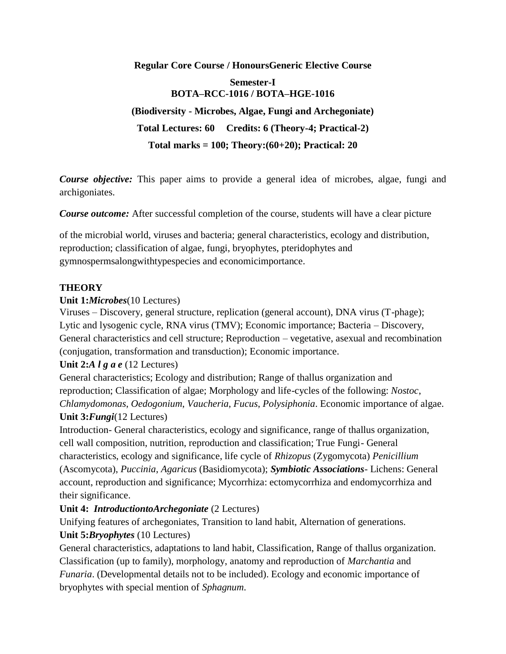**Regular Core Course / HonoursGeneric Elective Course Semester-I BOTA–RCC-1016 / BOTA–HGE-1016 (Biodiversity - Microbes, Algae, Fungi and Archegoniate) Total Lectures: 60 Credits: 6 (Theory-4; Practical-2) Total marks = 100; Theory:(60+20); Practical: 20**

*Course objective:* This paper aims to provide a general idea of microbes, algae, fungi and archigoniates.

*Course outcome:* After successful completion of the course, students will have a clear picture

of the microbial world, viruses and bacteria; general characteristics, ecology and distribution, reproduction; classification of algae, fungi, bryophytes, pteridophytes and gymnospermsalongwithtypespecies and economicimportance.

### **THEORY**

### **Unit 1:***Microbes*(10 Lectures)

Viruses – Discovery, general structure, replication (general account), DNA virus (T-phage); Lytic and lysogenic cycle, RNA virus (TMV); Economic importance; Bacteria – Discovery, General characteristics and cell structure; Reproduction – vegetative, asexual and recombination (conjugation, transformation and transduction); Economic importance.

### **Unit 2:***A l g a e* (12 Lectures)

General characteristics; Ecology and distribution; Range of thallus organization and reproduction; Classification of algae; Morphology and life-cycles of the following: *Nostoc*, *Chlamydomonas*, *Oedogonium*, *Vaucheria*, *Fucus*, *Polysiphonia*. Economic importance of algae. **Unit 3:***Fungi*(12 Lectures)

Introduction- General characteristics, ecology and significance, range of thallus organization, cell wall composition, nutrition, reproduction and classification; True Fungi- General characteristics, ecology and significance, life cycle of *Rhizopus* (Zygomycota) *Penicillium* (Ascomycota), *Puccinia*, *Agaricus* (Basidiomycota); *Symbiotic Associations*- Lichens: General account, reproduction and significance; Mycorrhiza: ectomycorrhiza and endomycorrhiza and their significance.

# **Unit 4:** *IntroductiontoArchegoniate* (2 Lectures)

Unifying features of archegoniates, Transition to land habit, Alternation of generations. **Unit 5:***Bryophytes* (10 Lectures)

General characteristics, adaptations to land habit, Classification, Range of thallus organization. Classification (up to family), morphology, anatomy and reproduction of *Marchantia* and *Funaria*. (Developmental details not to be included). Ecology and economic importance of bryophytes with special mention of *Sphagnum*.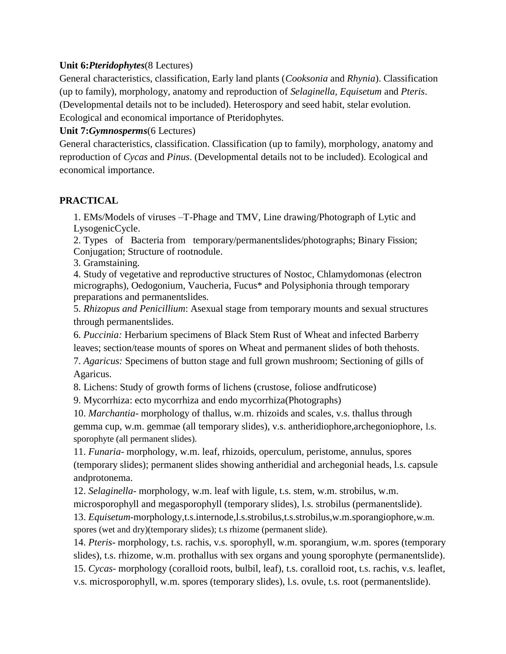# **Unit 6:***Pteridophytes*(8 Lectures)

General characteristics, classification, Early land plants (*Cooksonia* and *Rhynia*). Classification (up to family), morphology, anatomy and reproduction of *Selaginella, Equisetum* and *Pteris*. (Developmental details not to be included). Heterospory and seed habit, stelar evolution. Ecological and economical importance of Pteridophytes.

## **Unit 7:***Gymnosperms*(6 Lectures)

General characteristics, classification. Classification (up to family), morphology, anatomy and reproduction of *Cycas* and *Pinus*. (Developmental details not to be included). Ecological and economical importance.

# **PRACTICAL**

1. EMs/Models of viruses –T-Phage and TMV, Line drawing/Photograph of Lytic and LysogenicCycle.

2. Types of Bacteria from temporary/permanentslides/photographs; Binary Fission; Conjugation; Structure of rootnodule.

3. Gramstaining.

4. Study of vegetative and reproductive structures of Nostoc, Chlamydomonas (electron micrographs), Oedogonium, Vaucheria, Fucus\* and Polysiphonia through temporary preparations and permanentslides.

5. *Rhizopus and Penicillium*: Asexual stage from temporary mounts and sexual structures through permanentslides.

6. *Puccinia:* Herbarium specimens of Black Stem Rust of Wheat and infected Barberry leaves; section/tease mounts of spores on Wheat and permanent slides of both thehosts.

7. *Agaricus:* Specimens of button stage and full grown mushroom; Sectioning of gills of Agaricus.

8. Lichens: Study of growth forms of lichens (crustose, foliose andfruticose)

9. Mycorrhiza: ecto mycorrhiza and endo mycorrhiza(Photographs)

10. *Marchantia*- morphology of thallus, w.m. rhizoids and scales, v.s. thallus through gemma cup, w.m. gemmae (all temporary slides), v.s. antheridiophore,archegoniophore, l.s. sporophyte (all permanent slides).

11. *Funaria*- morphology, w.m. leaf, rhizoids, operculum, peristome, annulus, spores (temporary slides); permanent slides showing antheridial and archegonial heads, l.s. capsule andprotonema.

12. *Selaginella*- morphology, w.m. leaf with ligule, t.s. stem, w.m. strobilus, w.m.

microsporophyll and megasporophyll (temporary slides), l.s. strobilus (permanentslide).

13. *Equisetum*-morphology,t.s.internode,l.s.strobilus,t.s.strobilus,w.m.sporangiophore,w.m. spores (wet and dry)(temporary slides); t.s rhizome (permanent slide).

14. *Pteris*- morphology, t.s. rachis, v.s. sporophyll, w.m. sporangium, w.m. spores (temporary slides), t.s. rhizome, w.m. prothallus with sex organs and young sporophyte (permanentslide). 15. *Cycas*- morphology (coralloid roots, bulbil, leaf), t.s. coralloid root, t.s. rachis, v.s. leaflet, v.s. microsporophyll, w.m. spores (temporary slides), l.s. ovule, t.s. root (permanentslide).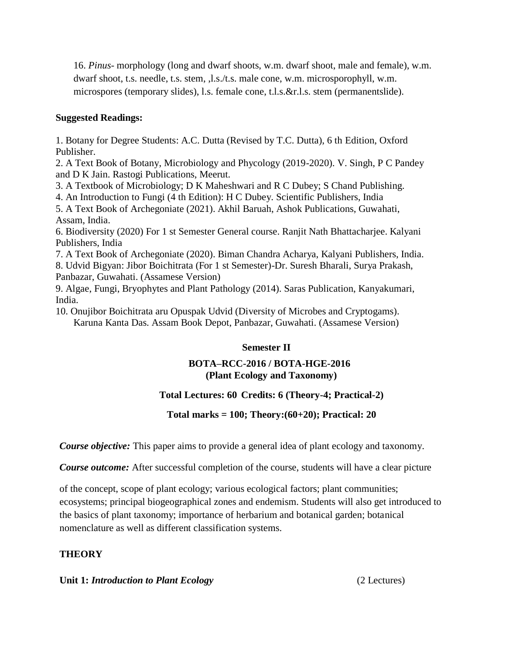16. *Pinus*- morphology (long and dwarf shoots, w.m. dwarf shoot, male and female), w.m. dwarf shoot, t.s. needle, t.s. stem, ,l.s./t.s. male cone, w.m. microsporophyll, w.m. microspores (temporary slides), l.s. female cone, t.l.s.&r.l.s. stem (permanentslide).

# **Suggested Readings:**

1. Botany for Degree Students: A.C. Dutta (Revised by T.C. Dutta), 6 th Edition, Oxford Publisher.

2. A Text Book of Botany, Microbiology and Phycology (2019-2020). V. Singh, P C Pandey and D K Jain. Rastogi Publications, Meerut.

3. A Textbook of Microbiology; D K Maheshwari and R C Dubey; S Chand Publishing.

4. An Introduction to Fungi (4 th Edition): H C Dubey. Scientific Publishers, India

5. A Text Book of Archegoniate (2021). Akhil Baruah, Ashok Publications, Guwahati, Assam, India.

6. Biodiversity (2020) For 1 st Semester General course. Ranjit Nath Bhattacharjee. Kalyani Publishers, India

7. A Text Book of Archegoniate (2020). Biman Chandra Acharya, Kalyani Publishers, India.

8. Udvid Bigyan: Jibor Boichitrata (For 1 st Semester)-Dr. Suresh Bharali, Surya Prakash, Panbazar, Guwahati. (Assamese Version)

9. Algae, Fungi, Bryophytes and Plant Pathology (2014). Saras Publication, Kanyakumari, India.

10. Onujibor Boichitrata aru Opuspak Udvid (Diversity of Microbes and Cryptogams). Karuna Kanta Das. Assam Book Depot, Panbazar, Guwahati. (Assamese Version)

# **Semester II**

# **BOTA–RCC-2016 / BOTA-HGE-2016 (Plant Ecology and Taxonomy)**

# **Total Lectures: 60 Credits: 6 (Theory-4; Practical-2)**

**Total marks = 100; Theory:(60+20); Practical: 20**

*Course objective:* This paper aims to provide a general idea of plant ecology and taxonomy.

*Course outcome:* After successful completion of the course, students will have a clear picture

of the concept, scope of plant ecology; various ecological factors; plant communities; ecosystems; principal biogeographical zones and endemism. Students will also get introduced to the basics of plant taxonomy; importance of herbarium and botanical garden; botanical nomenclature as well as different classification systems.

# **THEORY**

**Unit 1:** *Introduction to Plant Ecology* (2 Lectures)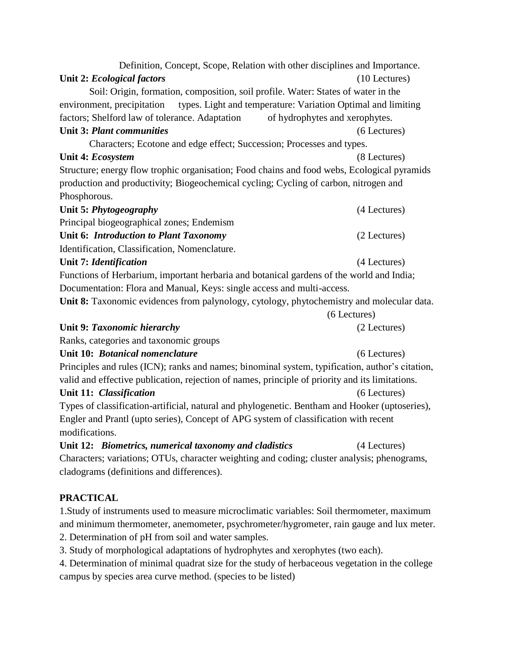| Definition, Concept, Scope, Relation with other disciplines and Importance.                     |                 |
|-------------------------------------------------------------------------------------------------|-----------------|
| Unit 2: Ecological factors                                                                      | $(10$ Lectures) |
| Soil: Origin, formation, composition, soil profile. Water: States of water in the               |                 |
| types. Light and temperature: Variation Optimal and limiting<br>environment, precipitation      |                 |
| factors; Shelford law of tolerance. Adaptation<br>of hydrophytes and xerophytes.                |                 |
| <b>Unit 3: Plant communities</b>                                                                | (6 Lectures)    |
| Characters; Ecotone and edge effect; Succession; Processes and types.                           |                 |
| Unit 4: Ecosystem                                                                               | (8 Lectures)    |
| Structure; energy flow trophic organisation; Food chains and food webs, Ecological pyramids     |                 |
| production and productivity; Biogeochemical cycling; Cycling of carbon, nitrogen and            |                 |
| Phosphorous.                                                                                    |                 |
| Unit 5: Phytogeography                                                                          | (4 Lectures)    |
| Principal biogeographical zones; Endemism                                                       |                 |
| Unit 6: Introduction to Plant Taxonomy                                                          | (2 Lectures)    |
| Identification, Classification, Nomenclature.                                                   |                 |
| Unit 7: Identification                                                                          | (4 Lectures)    |
| Functions of Herbarium, important herbaria and botanical gardens of the world and India;        |                 |
| Documentation: Flora and Manual, Keys: single access and multi-access.                          |                 |
| Unit 8: Taxonomic evidences from palynology, cytology, phytochemistry and molecular data.       |                 |
|                                                                                                 | (6 Lectures)    |
| Unit 9: Taxonomic hierarchy                                                                     | (2 Lectures)    |
| Ranks, categories and taxonomic groups                                                          |                 |
| Unit 10: Botanical nomenclature                                                                 | (6 Lectures)    |
| Principles and rules (ICN); ranks and names; binominal system, typification, author's citation, |                 |
| valid and effective publication, rejection of names, principle of priority and its limitations. |                 |
| Unit 11: Classification                                                                         | (6 Lectures)    |
| Types of classification-artificial, natural and phylogenetic. Bentham and Hooker (uptoseries),  |                 |
| Engler and Prantl (upto series), Concept of APG system of classification with recent            |                 |
| modifications.                                                                                  |                 |
| Unit 12: Biometrics, numerical taxonomy and cladistics                                          | (4 Lectures)    |
| Characters; variations; OTUs, character weighting and coding; cluster analysis; phenograms,     |                 |
| cladograms (definitions and differences).                                                       |                 |
| <b>PRACTICAL</b>                                                                                |                 |
| 1. Study of instruments used to measure microclimatic variables: Soil thermometer, maximum      |                 |
| and minimum thermometer, anemometer, psychrometer/hygrometer, rain gauge and lux meter.         |                 |

2. Determination of pH from soil and water samples.

3. Study of morphological adaptations of hydrophytes and xerophytes (two each).

4. Determination of minimal quadrat size for the study of herbaceous vegetation in the college campus by species area curve method. (species to be listed)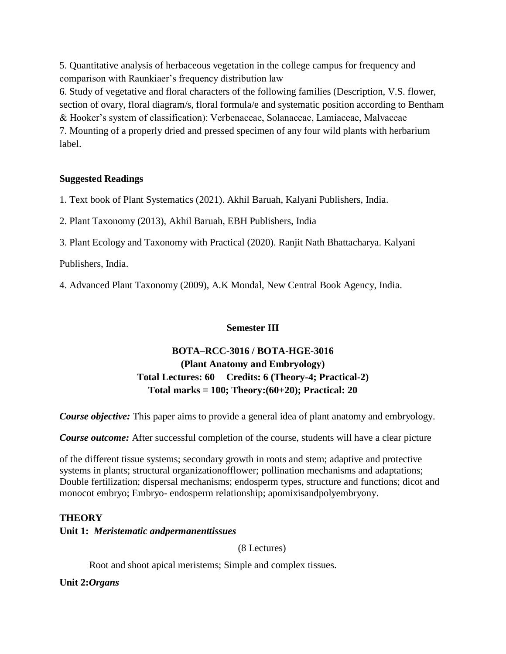5. Quantitative analysis of herbaceous vegetation in the college campus for frequency and comparison with Raunkiaer's frequency distribution law

6. Study of vegetative and floral characters of the following families (Description, V.S. flower, section of ovary, floral diagram/s, floral formula/e and systematic position according to Bentham

& Hooker's system of classification): Verbenaceae, Solanaceae, Lamiaceae, Malvaceae

7. Mounting of a properly dried and pressed specimen of any four wild plants with herbarium label.

# **Suggested Readings**

1. Text book of Plant Systematics (2021). Akhil Baruah, Kalyani Publishers, India.

2. Plant Taxonomy (2013), Akhil Baruah, EBH Publishers, India

3. Plant Ecology and Taxonomy with Practical (2020). Ranjit Nath Bhattacharya. Kalyani

Publishers, India.

4. Advanced Plant Taxonomy (2009), A.K Mondal, New Central Book Agency, India.

# **Semester III**

# **BOTA–RCC-3016 / BOTA-HGE-3016 (Plant Anatomy and Embryology) Total Lectures: 60 Credits: 6 (Theory-4; Practical-2) Total marks = 100; Theory:(60+20); Practical: 20**

*Course objective:* This paper aims to provide a general idea of plant anatomy and embryology.

*Course outcome:* After successful completion of the course, students will have a clear picture

of the different tissue systems; secondary growth in roots and stem; adaptive and protective systems in plants; structural organizationofflower; pollination mechanisms and adaptations; Double fertilization; dispersal mechanisms; endosperm types, structure and functions; dicot and monocot embryo; Embryo- endosperm relationship; apomixisandpolyembryony.

# **THEORY**

# **Unit 1:** *Meristematic andpermanenttissues*

(8 Lectures)

Root and shoot apical meristems; Simple and complex tissues.

**Unit 2:***Organs*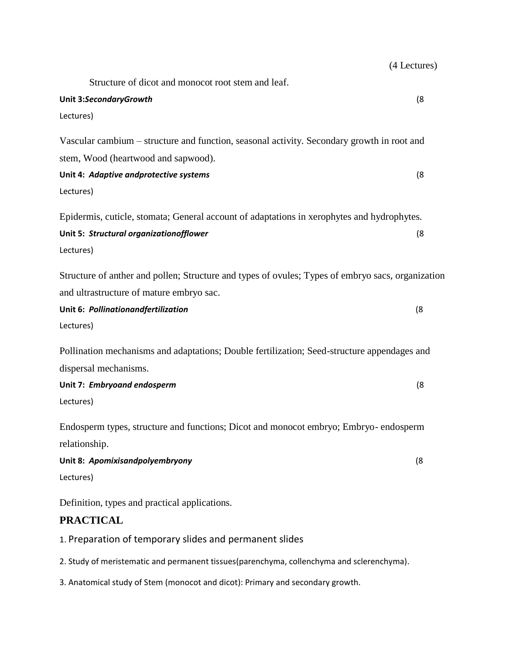|                                                                                                   | (4 Lectures) |
|---------------------------------------------------------------------------------------------------|--------------|
| Structure of dicot and monocot root stem and leaf.                                                |              |
| Unit 3:SecondaryGrowth                                                                            | (8)          |
| Lectures)                                                                                         |              |
| Vascular cambium – structure and function, seasonal activity. Secondary growth in root and        |              |
| stem, Wood (heartwood and sapwood).                                                               |              |
| Unit 4: Adaptive andprotective systems                                                            | (8)          |
| Lectures)                                                                                         |              |
| Epidermis, cuticle, stomata; General account of adaptations in xerophytes and hydrophytes.        |              |
| Unit 5: Structural organizationofflower                                                           | (8)          |
| Lectures)                                                                                         |              |
| Structure of anther and pollen; Structure and types of ovules; Types of embryo sacs, organization |              |
| and ultrastructure of mature embryo sac.                                                          |              |
| Unit 6: Pollinationandfertilization                                                               | (8)          |
| Lectures)                                                                                         |              |
| Pollination mechanisms and adaptations; Double fertilization; Seed-structure appendages and       |              |
| dispersal mechanisms.                                                                             |              |
| Unit 7: Embryoand endosperm                                                                       | (8)          |
| Lectures)                                                                                         |              |
| Endosperm types, structure and functions; Dicot and monocot embryo; Embryo- endosperm             |              |
| relationship.                                                                                     |              |
| Unit 8: Apomixisandpolyembryony                                                                   | (8)          |
| Lectures)                                                                                         |              |
| Definition, types and practical applications.                                                     |              |
| <b>PRACTICAL</b>                                                                                  |              |
| 1. Preparation of temporary slides and permanent slides                                           |              |

2. Study of meristematic and permanent tissues(parenchyma, collenchyma and sclerenchyma).

3. Anatomical study of Stem (monocot and dicot): Primary and secondary growth.